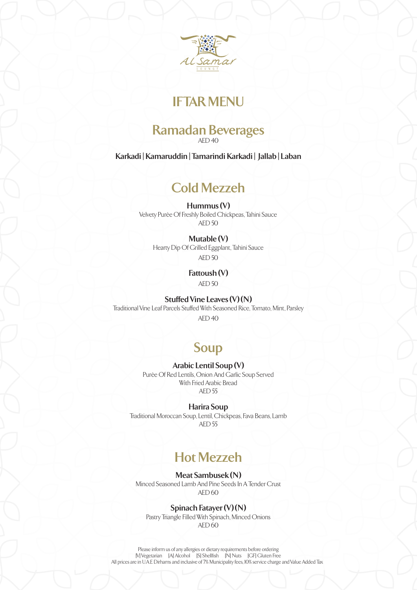

# **IFTAR MENU**

# **Ramadan Beverages**

AED 40

**Karkadi | Kamaruddin | Tamarindi Karkadi | Jallab | Laban**

# **Cold Mezzeh**

**Hummus (V)**  Velvety Purèe Of Freshly Boiled Chickpeas, Tahini Sauce

AED 50

## **Mutable (V)**

Hearty Dip Of Grilled Eggplant, Tahini Sauce AED 50

## **Fattoush (V)**

AED 50

### **Stuffed Vine Leaves (V) (N)**

Traditional Vine Leaf Parcels Stuffed With Seasoned Rice, Tomato, Mint, Parsley

 $AFD 40$ 

# **Soup**

## **Arabic Lentil Soup (V)**

Purèe Of Red Lentils, Onion And Garlic Soup Served With Fried Arabic Bread  $AFD<sub>55</sub>$ 

**Harira Soup** 

Traditional Moroccan Soup, Lentil, Chickpeas, Fava Beans, Lamb AED 55

# **Hot Mezzeh**

**Meat Sambusek (N)**  Minced Seasoned Lamb And Pine Seeds In A Tender Crust

 $AFD 60$ 

## **Spinach Fatayer (V) (N)**

Pastry Triangle Filled With Spinach, Minced Onions AED 60

Please inform us of any allergies or dietary requirements before ordering [V] Vegetarian [A] Alcohol [S] Shellfish [N] Nuts [GF] Gluten Free All prices are in UA.E Dirhams and inclusive of 7% Municipality fees, IO% service charge and Value Added Tax